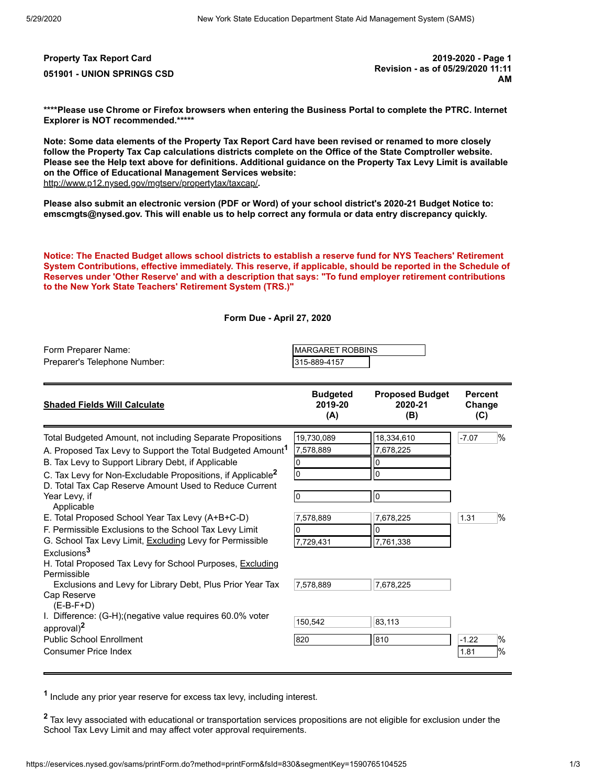**Property Tax Report Card 2019-2020 - Page 1 051901 - UNION SPRINGS CSD Revision - as of 05/29/2020 11:11 AM**

**\*\*\*\*Please use Chrome or Firefox browsers when entering the Business Portal to complete the PTRC. Internet Explorer is NOT recommended.\*\*\*\*\***

**Note: Some data elements of the Property Tax Report Card have been revised or renamed to more closely follow the Property Tax Cap calculations districts complete on the Office of the State Comptroller website. Please see the Help text above for definitions. Additional guidance on the Property Tax Levy Limit is available on the Office of Educational Management Services website:** <http://www.p12.nysed.gov/mgtserv/propertytax/taxcap/>**.**

**Please also submit an electronic version (PDF or Word) of your school district's 2020-21 Budget Notice to: emscmgts@nysed.gov. This will enable us to help correct any formula or data entry discrepancy quickly.**

**Notice: The Enacted Budget allows school districts to establish a reserve fund for NYS Teachers' Retirement System Contributions, effective immediately. This reserve, if applicable, should be reported in the Schedule of Reserves under 'Other Reserve' and with a description that says: "To fund employer retirement contributions to the New York State Teachers' Retirement System (TRS.)"**

**Form Due - April 27, 2020**

| Form Preparer Name:                                                                                                                                                                                                                                                                                                                                                                                                                                                                                                                                                                                                                                                                                                                               | <b>MARGARET ROBBINS</b>                                                              |                                                                                                 |                                                   |  |
|---------------------------------------------------------------------------------------------------------------------------------------------------------------------------------------------------------------------------------------------------------------------------------------------------------------------------------------------------------------------------------------------------------------------------------------------------------------------------------------------------------------------------------------------------------------------------------------------------------------------------------------------------------------------------------------------------------------------------------------------------|--------------------------------------------------------------------------------------|-------------------------------------------------------------------------------------------------|---------------------------------------------------|--|
| Preparer's Telephone Number:                                                                                                                                                                                                                                                                                                                                                                                                                                                                                                                                                                                                                                                                                                                      | 315-889-4157                                                                         |                                                                                                 |                                                   |  |
| <b>Shaded Fields Will Calculate</b>                                                                                                                                                                                                                                                                                                                                                                                                                                                                                                                                                                                                                                                                                                               | <b>Budgeted</b>                                                                      | <b>Proposed Budget</b>                                                                          | <b>Percent</b>                                    |  |
|                                                                                                                                                                                                                                                                                                                                                                                                                                                                                                                                                                                                                                                                                                                                                   | 2019-20                                                                              | 2020-21                                                                                         | Change                                            |  |
|                                                                                                                                                                                                                                                                                                                                                                                                                                                                                                                                                                                                                                                                                                                                                   | (A)                                                                                  | (B)                                                                                             | (C)                                               |  |
| Total Budgeted Amount, not including Separate Propositions<br>A. Proposed Tax Levy to Support the Total Budgeted Amount <sup>1</sup><br>B. Tax Levy to Support Library Debt, if Applicable<br>C. Tax Levy for Non-Excludable Propositions, if Applicable <sup>2</sup><br>D. Total Tax Cap Reserve Amount Used to Reduce Current<br>Year Levy, if<br>Applicable<br>E. Total Proposed School Year Tax Levy (A+B+C-D)<br>F. Permissible Exclusions to the School Tax Levy Limit<br>G. School Tax Levy Limit, Excluding Levy for Permissible<br>Exclusions <sup>3</sup><br>H. Total Proposed Tax Levy for School Purposes, <u>Excluding</u><br>Permissible<br>Exclusions and Levy for Library Debt, Plus Prior Year Tax<br>Cap Reserve<br>$(E-B-F+D)$ | 19,730,089<br>7,578,889<br>0<br>l0<br>lo<br>7,578,889<br>0<br>7,729,431<br>7,578,889 | 18,334,610<br>7,678,225<br>0<br>0<br>$\overline{0}$<br>7,678,225<br>0<br>7,761,338<br>7,678,225 | $\frac{1}{2}$<br>$-7.07$<br>$\frac{9}{6}$<br>1.31 |  |
| I. Difference: (G-H); (negative value requires 60.0% voter<br>approval) <sup>2</sup><br><b>Public School Enrollment</b><br><b>Consumer Price Index</b>                                                                                                                                                                                                                                                                                                                                                                                                                                                                                                                                                                                            | 150.542<br>820                                                                       | 83,113<br>810                                                                                   | $\frac{9}{6}$<br>$-1.22$<br>1%<br>1.81            |  |

**1** Include any prior year reserve for excess tax levy, including interest.

**<sup>2</sup>** Tax levy associated with educational or transportation services propositions are not eligible for exclusion under the School Tax Levy Limit and may affect voter approval requirements.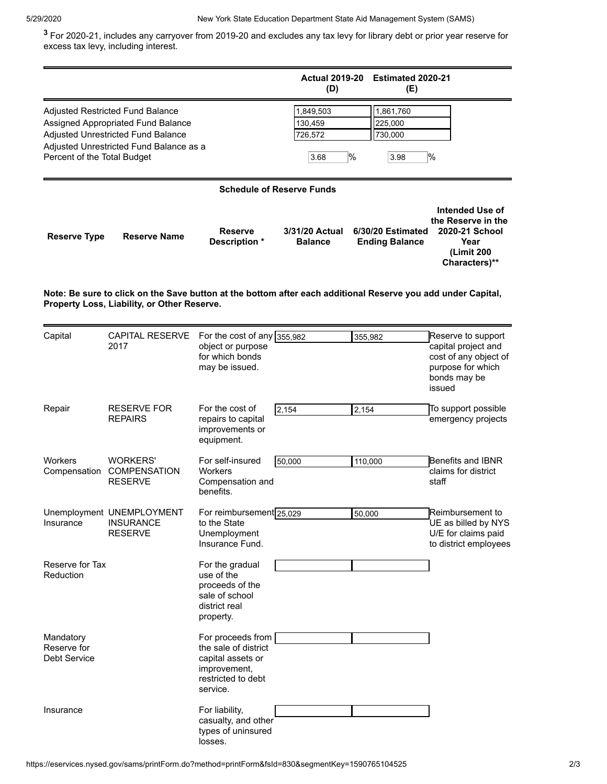**3** For 2020-21, includes any carryover from 2019-20 and excludes any tax levy for library debt or prior year reserve for excess tax levy, including interest.

|                                                                                                                                                                                        |                                                                 |                                                                                                                  | <b>Actual 2019-20</b><br>(D)                    | Estimated 2020-21<br>(E)                   |                                                                                                                   |  |  |  |
|----------------------------------------------------------------------------------------------------------------------------------------------------------------------------------------|-----------------------------------------------------------------|------------------------------------------------------------------------------------------------------------------|-------------------------------------------------|--------------------------------------------|-------------------------------------------------------------------------------------------------------------------|--|--|--|
| Adjusted Restricted Fund Balance<br>Assigned Appropriated Fund Balance<br>Adjusted Unrestricted Fund Balance<br>Adjusted Unrestricted Fund Balance as a<br>Percent of the Total Budget |                                                                 | 1,849,503<br>130,459<br>726,572<br>3.68                                                                          | 1,861,760<br>225,000<br>730,000<br>$\%$<br>3.98 | $\%$                                       |                                                                                                                   |  |  |  |
| <b>Schedule of Reserve Funds</b>                                                                                                                                                       |                                                                 |                                                                                                                  |                                                 |                                            |                                                                                                                   |  |  |  |
| <b>Reserve Type</b>                                                                                                                                                                    | <b>Reserve Name</b>                                             | <b>Reserve</b><br>Description *                                                                                  | 3/31/20 Actual<br><b>Balance</b>                | 6/30/20 Estimated<br><b>Ending Balance</b> | Intended Use of<br>the Reserve in the<br>2020-21 School<br>Year<br>(Limit 200<br>Characters)**                    |  |  |  |
| Note: Be sure to click on the Save button at the bottom after each additional Reserve you add under Capital,<br>Property Loss, Liability, or Other Reserve.                            |                                                                 |                                                                                                                  |                                                 |                                            |                                                                                                                   |  |  |  |
| Capital                                                                                                                                                                                | <b>CAPITAL RESERVE</b><br>2017                                  | For the cost of any $355,982$<br>object or purpose<br>for which bonds<br>may be issued.                          |                                                 | 355,982                                    | Reserve to support<br>capital project and<br>cost of any object of<br>purpose for which<br>bonds may be<br>issued |  |  |  |
| Repair                                                                                                                                                                                 | <b>RESERVE FOR</b><br><b>REPAIRS</b>                            | For the cost of<br>repairs to capital<br>improvements or<br>equipment.                                           | 2,154                                           | 2,154                                      | To support possible<br>emergency projects                                                                         |  |  |  |
| Workers<br>Compensation                                                                                                                                                                | <b>WORKERS'</b><br><b>COMPENSATION</b><br><b>RESERVE</b>        | For self-insured<br>Workers<br>Compensation and<br>benefits.                                                     | 50,000                                          | 110,000                                    | Benefits and IBNR<br>claims for district<br>staff                                                                 |  |  |  |
| Insurance                                                                                                                                                                              | Unemployment UNEMPLOYMENT<br><b>INSURANCE</b><br><b>RESERVE</b> | For reimbursement 25,029<br>to the State<br>Unemployment<br>Insurance Fund.                                      |                                                 | 50,000                                     | Reimbursement to<br>UE as billed by NYS<br>U/E for claims paid<br>to district employees                           |  |  |  |
| Reserve for Tax<br>Reduction                                                                                                                                                           |                                                                 | For the gradual<br>use of the<br>proceeds of the<br>sale of school<br>district real<br>property.                 |                                                 |                                            |                                                                                                                   |  |  |  |
| Mandatory<br>Reserve for<br>Debt Service                                                                                                                                               |                                                                 | For proceeds from<br>the sale of district<br>capital assets or<br>improvement,<br>restricted to debt<br>service. |                                                 |                                            |                                                                                                                   |  |  |  |
| Insurance                                                                                                                                                                              |                                                                 | For liability,<br>casualty, and other<br>types of uninsured<br>losses.                                           |                                                 |                                            |                                                                                                                   |  |  |  |